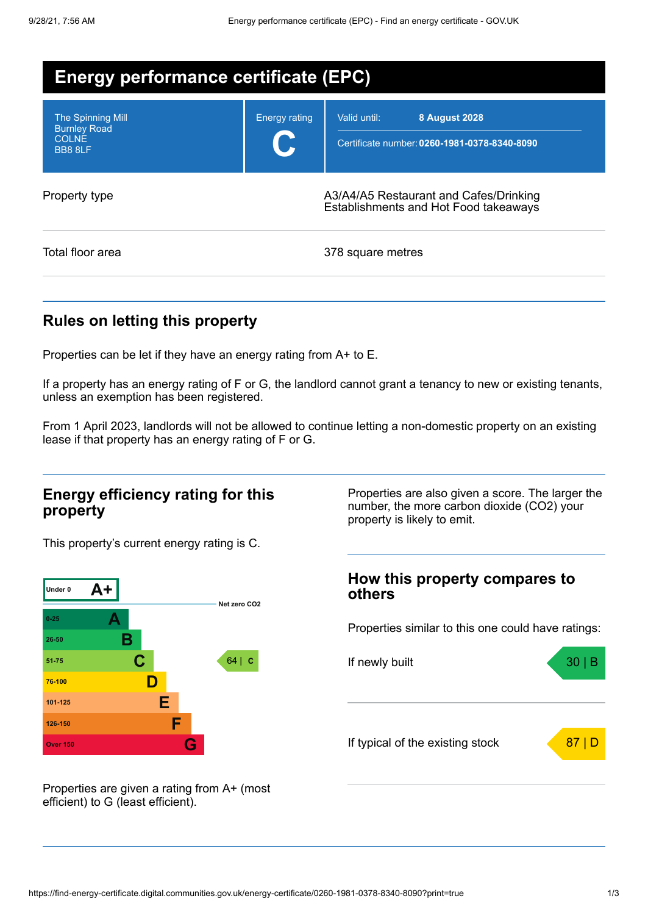| <b>Energy performance certificate (EPC)</b>                                |                      |                                                                                      |  |  |
|----------------------------------------------------------------------------|----------------------|--------------------------------------------------------------------------------------|--|--|
| <b>The Spinning Mill</b><br><b>Burnley Road</b><br><b>COLNE</b><br>BB8 8LF | <b>Energy rating</b> | Valid until:<br><b>8 August 2028</b><br>Certificate number: 0260-1981-0378-8340-8090 |  |  |
| Property type                                                              |                      | A3/A4/A5 Restaurant and Cafes/Drinking<br>Establishments and Hot Food takeaways      |  |  |
| Total floor area                                                           |                      | 378 square metres                                                                    |  |  |

## **Rules on letting this property**

Properties can be let if they have an energy rating from A+ to E.

If a property has an energy rating of F or G, the landlord cannot grant a tenancy to new or existing tenants, unless an exemption has been registered.

From 1 April 2023, landlords will not be allowed to continue letting a non-domestic property on an existing lease if that property has an energy rating of F or G.

#### **Energy efficiency rating for this property**

This property's current energy rating is C.



Properties are also given a score. The larger the number, the more carbon dioxide (CO2) your property is likely to emit.

# **How this property compares to others** Properties similar to this one could have ratings: If newly built a set of the set of the set of the set of the set of the set of the set of the set of the set of the set of the set of the set of the set of the set of the set of the set of the set of the set of the set of If typical of the existing stock  $\overline{\hspace{1cm}}$  87 | D

Properties are given a rating from A+ (most efficient) to G (least efficient).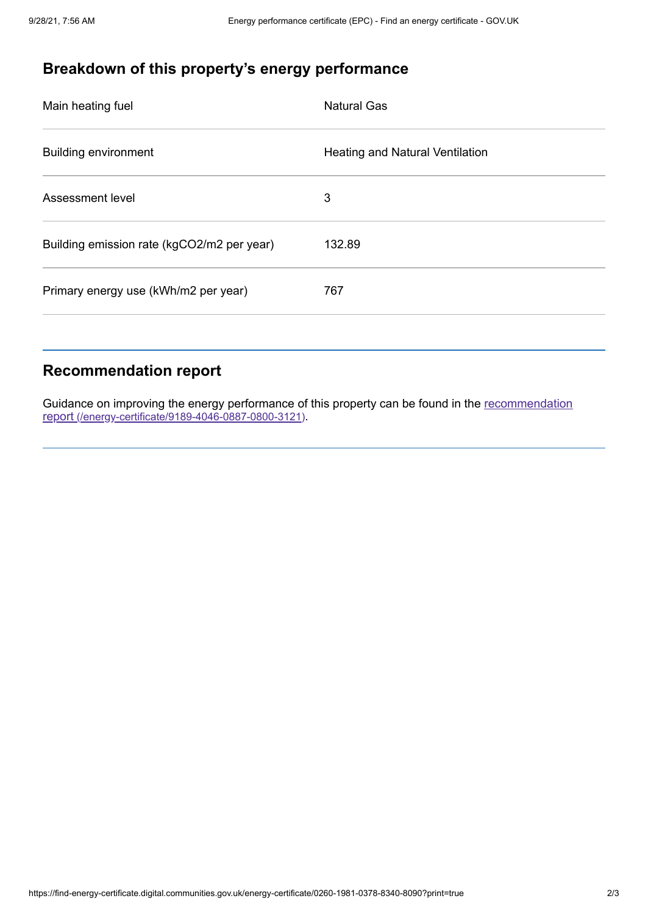# **Breakdown of this property's energy performance**

| Main heating fuel                          | <b>Natural Gas</b>              |
|--------------------------------------------|---------------------------------|
| <b>Building environment</b>                | Heating and Natural Ventilation |
| Assessment level                           | 3                               |
| Building emission rate (kgCO2/m2 per year) | 132.89                          |
| Primary energy use (kWh/m2 per year)       | 767                             |
|                                            |                                 |

## **Recommendation report**

Guidance on improving the energy performance of this property can be found in the recommendation report [\(/energy-certificate/9189-4046-0887-0800-3121\)](https://find-energy-certificate.digital.communities.gov.uk/energy-certificate/9189-4046-0887-0800-3121).